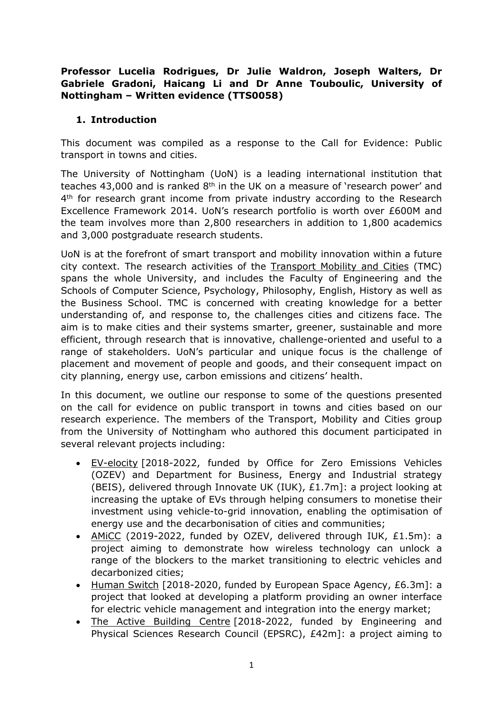## **Professor Lucelia Rodrigues, Dr Julie Waldron, Joseph Walters, Dr Gabriele Gradoni, Haicang Li and Dr Anne Touboulic, University of Nottingham – Written evidence (TTS0058)**

## **1. Introduction**

This document was compiled as a response to the Call for Evidence: Public transport in towns and cities.

The University of Nottingham (UoN) is a leading international institution that teaches 43,000 and is ranked 8<sup>th</sup> in the UK on a measure of 'research power' and 4<sup>th</sup> for research grant income from private industry according to the Research Excellence Framework 2014. UoN's research portfolio is worth over £600M and the team involves more than 2,800 researchers in addition to 1,800 academics and 3,000 postgraduate research students.

UoN is at the forefront of smart transport and mobility innovation within a future city context. The research activities of the [Transport](https://www.nottingham.ac.uk/research/groups/tmc/home.aspx#:~:text=The%20University%20of%20Nottingham%20is,well%20as%20the%20Business%20School.) [Mobility](https://www.nottingham.ac.uk/research/groups/tmc/home.aspx#:~:text=The%20University%20of%20Nottingham%20is,well%20as%20the%20Business%20School.) [and](https://www.nottingham.ac.uk/research/groups/tmc/home.aspx#:~:text=The%20University%20of%20Nottingham%20is,well%20as%20the%20Business%20School.) [Cities](https://www.nottingham.ac.uk/research/groups/tmc/home.aspx#:~:text=The%20University%20of%20Nottingham%20is,well%20as%20the%20Business%20School.) (TMC) spans the whole University, and includes the Faculty of Engineering and the Schools of Computer Science, Psychology, Philosophy, English, History as well as the Business School. TMC is concerned with creating knowledge for a better understanding of, and response to, the challenges cities and citizens face. The aim is to make cities and their systems smarter, greener, sustainable and more efficient, through research that is innovative, challenge-oriented and useful to a range of stakeholders. UoN's particular and unique focus is the challenge of placement and movement of people and goods, and their consequent impact on city planning, energy use, carbon emissions and citizens' health.

In this document, we outline our response to some of the questions presented on the call for evidence on public transport in towns and cities based on our research experience. The members of the Transport, Mobility and Cities group from the University of Nottingham who authored this document participated in several relevant projects including:

- [EV-elocity](https://www.ev-elocity.com/) [2018-2022, funded by Office for Zero Emissions Vehicles (OZEV) and Department for Business, Energy and Industrial strategy (BEIS), delivered through Innovate UK (IUK), £1.7m]: a project looking at increasing the uptake of EVs through helping consumers to monetise their investment using vehicle-to-grid innovation, enabling the optimisation of energy use and the decarbonisation of cities and communities;
- AMICC (2019-2022, funded by OZEV, delivered through IUK, £1.5m): a project aiming to demonstrate how wireless technology can unlock a range of the blockers to the market transitioning to electric vehicles and decarbonized cities;
- [Human](https://business.esa.int/projects/human-switch) [Switch](https://business.esa.int/projects/human-switch) [2018-2020, funded by European Space Agency, £6.3m]: a project that looked at developing a platform providing an owner interface for electric vehicle management and integration into the energy market;
- [The](https://www.activebuildingcentre.com/) [Active](https://www.activebuildingcentre.com/) [Building](https://www.activebuildingcentre.com/) [Centre](https://www.activebuildingcentre.com/) [2018-2022, funded by Engineering and Physical Sciences Research Council (EPSRC), £42m]: a project aiming to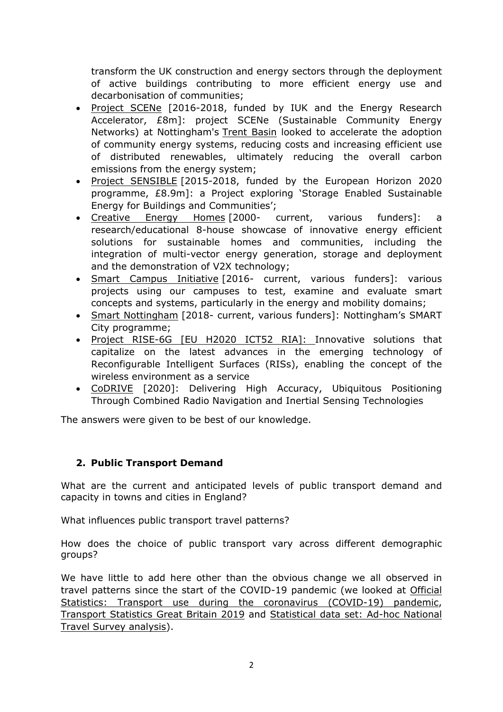transform the UK construction and energy sectors through the deployment of active buildings contributing to more efficient energy use and decarbonisation of communities;

- [Project](https://www.projectscene.uk/) [SCENe](https://www.projectscene.uk/) [2016-2018, funded by IUK and the Energy Research Accelerator, £8m]: project SCENe (Sustainable Community Energy Networks) at Nottingham's [Trent](https://www.projectscene.uk/trentbasin/) [Basin](https://www.projectscene.uk/trentbasin/) looked to accelerate the adoption of community energy systems, reducing costs and increasing efficient use of distributed renewables, ultimately reducing the overall carbon emissions from the energy system;
- [Project](https://www.projectsensible.eu/) [SENSIBLE](https://www.projectsensible.eu/) [2015-2018, funded by the European Horizon 2020 programme, £8.9m]: a Project exploring 'Storage Enabled Sustainable Energy for Buildings and Communities';
- [Creative](https://www.nottingham.ac.uk/creative-energy-homes/) [Energy](https://www.nottingham.ac.uk/creative-energy-homes/) [Homes](https://www.nottingham.ac.uk/creative-energy-homes/) [2000- current, various funders]: a research/educational 8-house showcase of innovative energy efficient solutions for sustainable homes and communities, including the integration of multi-vector energy generation, storage and deployment and the demonstration of V2X technology;
- [Smart](https://www.nottingham.ac.uk/research/groups/human-factors-research-group/research/smart-campus-smart-cities/index.aspx) [Campus](https://www.nottingham.ac.uk/research/groups/human-factors-research-group/research/smart-campus-smart-cities/index.aspx) [Initiative](https://www.nottingham.ac.uk/research/groups/human-factors-research-group/research/smart-campus-smart-cities/index.aspx) [2016- current, various funders]: various projects using our campuses to test, examine and evaluate smart concepts and systems, particularly in the energy and mobility domains;
- [Smart](https://www.smartnottingham.co.uk/) [Nottingham](https://www.smartnottingham.co.uk/) [2018- current, various funders]: Nottingham's SMART City programme;
- [Project](https://rise-6g.eu/) [RISE-6G](https://rise-6g.eu/) [\[EU](https://rise-6g.eu/) [H2020](https://rise-6g.eu/) [ICT52](https://rise-6g.eu/) [RIA\]:](https://rise-6g.eu/) Innovative solutions that capitalize on the latest advances in the emerging technology of Reconfigurable Intelligent Surfaces (RISs), enabling the concept of the wireless environment as a service
- [CoDRIVE](https://business.esa.int/projects/codrive) [2020]: Delivering High Accuracy, Ubiquitous Positioning Through Combined Radio Navigation and Inertial Sensing Technologies

The answers were given to be best of our knowledge.

# **2. Public Transport Demand**

What are the current and anticipated levels of public transport demand and capacity in towns and cities in England?

What influences public transport travel patterns?

How does the choice of public transport vary across different demographic groups?

We have little to add here other than the obvious change we all observed in travel patterns since the start of the COVID-19 pandemic (we looked at [Official](https://www.gov.uk/government/statistics/transport-use-during-the-coronavirus-covid-19-pandemic) [Statistics:](https://www.gov.uk/government/statistics/transport-use-during-the-coronavirus-covid-19-pandemic) [Transport](https://www.gov.uk/government/statistics/transport-use-during-the-coronavirus-covid-19-pandemic) [use](https://www.gov.uk/government/statistics/transport-use-during-the-coronavirus-covid-19-pandemic) [during](https://www.gov.uk/government/statistics/transport-use-during-the-coronavirus-covid-19-pandemic) [the](https://www.gov.uk/government/statistics/transport-use-during-the-coronavirus-covid-19-pandemic) [coronavirus](https://www.gov.uk/government/statistics/transport-use-during-the-coronavirus-covid-19-pandemic) [\(COVID-19\)](https://www.gov.uk/government/statistics/transport-use-during-the-coronavirus-covid-19-pandemic) [pandemic](https://www.gov.uk/government/statistics/transport-use-during-the-coronavirus-covid-19-pandemic), [Transport](https://assets.publishing.service.gov.uk/government/uploads/system/uploads/attachment_data/file/870647/tsgb-2019.pdf) [Statistics](https://assets.publishing.service.gov.uk/government/uploads/system/uploads/attachment_data/file/870647/tsgb-2019.pdf) [Great](https://assets.publishing.service.gov.uk/government/uploads/system/uploads/attachment_data/file/870647/tsgb-2019.pdf) [Britain](https://assets.publishing.service.gov.uk/government/uploads/system/uploads/attachment_data/file/870647/tsgb-2019.pdf) [2019](https://assets.publishing.service.gov.uk/government/uploads/system/uploads/attachment_data/file/870647/tsgb-2019.pdf) and [Statistical](https://www.gov.uk/government/statistical-data-sets/ad-hoc-national-travel-survey-analysis) [data](https://www.gov.uk/government/statistical-data-sets/ad-hoc-national-travel-survey-analysis) [set:](https://www.gov.uk/government/statistical-data-sets/ad-hoc-national-travel-survey-analysis) [Ad-hoc](https://www.gov.uk/government/statistical-data-sets/ad-hoc-national-travel-survey-analysis) [National](https://www.gov.uk/government/statistical-data-sets/ad-hoc-national-travel-survey-analysis) [Travel](https://www.gov.uk/government/statistical-data-sets/ad-hoc-national-travel-survey-analysis) [Survey](https://www.gov.uk/government/statistical-data-sets/ad-hoc-national-travel-survey-analysis) [analysis\)](https://www.gov.uk/government/statistical-data-sets/ad-hoc-national-travel-survey-analysis).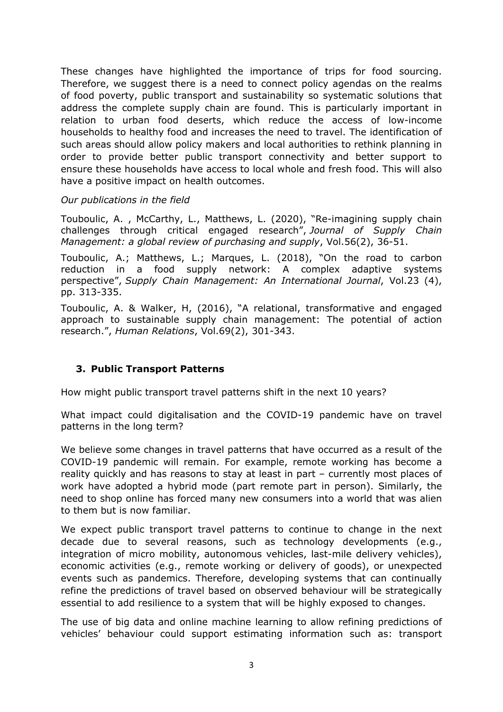These changes have highlighted the importance of trips for food sourcing. Therefore, we suggest there is a need to connect policy agendas on the realms of food poverty, public transport and sustainability so systematic solutions that address the complete supply chain are found. This is particularly important in relation to urban food deserts, which reduce the access of low-income households to healthy food and increases the need to travel. The identification of such areas should allow policy makers and local authorities to rethink planning in order to provide better public transport connectivity and better support to ensure these households have access to local whole and fresh food. This will also have a positive impact on health outcomes.

### *Our publications in the field*

Touboulic, A. , McCarthy, L., Matthews, L. (2020), "Re-imagining supply chain challenges through critical engaged research", *Journal of Supply Chain Management: a global review of purchasing and supply*, Vol.56(2), 36-51.

Touboulic, A.; Matthews, L.; Marques, L. (2018), "On the road to carbon reduction in a food supply network: A complex adaptive systems perspective", *Supply Chain Management: An International Journal*, Vol.23 (4), pp. 313-335.

Touboulic, A. & Walker, H, (2016), "A relational, transformative and engaged approach to sustainable supply chain management: The potential of action research.", *Human Relations*, Vol.69(2), 301-343.

### **3. Public Transport Patterns**

How might public transport travel patterns shift in the next 10 years?

What impact could digitalisation and the COVID-19 pandemic have on travel patterns in the long term?

We believe some changes in travel patterns that have occurred as a result of the COVID-19 pandemic will remain. For example, remote working has become a reality quickly and has reasons to stay at least in part – currently most places of work have adopted a hybrid mode (part remote part in person). Similarly, the need to shop online has forced many new consumers into a world that was alien to them but is now familiar.

We expect public transport travel patterns to continue to change in the next decade due to several reasons, such as technology developments (e.g., integration of micro mobility, autonomous vehicles, last-mile delivery vehicles), economic activities (e.g., remote working or delivery of goods), or unexpected events such as pandemics. Therefore, developing systems that can continually refine the predictions of travel based on observed behaviour will be strategically essential to add resilience to a system that will be highly exposed to changes.

The use of big data and online machine learning to allow refining predictions of vehicles' behaviour could support estimating information such as: transport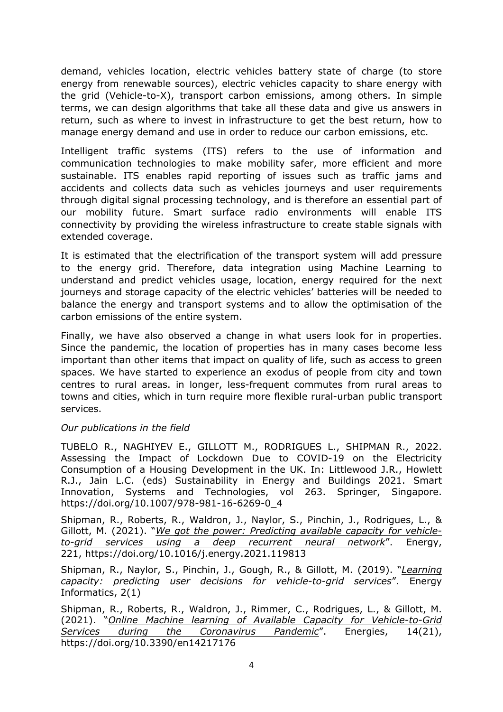demand, vehicles location, electric vehicles battery state of charge (to store energy from renewable sources), electric vehicles capacity to share energy with the grid (Vehicle-to-X), transport carbon emissions, among others. In simple terms, we can design algorithms that take all these data and give us answers in return, such as where to invest in infrastructure to get the best return, how to manage energy demand and use in order to reduce our carbon emissions, etc.

Intelligent traffic systems (ITS) refers to the use of information and communication technologies to make mobility safer, more efficient and more sustainable. ITS enables rapid reporting of issues such as traffic jams and accidents and collects data such as vehicles journeys and user requirements through digital signal processing technology, and is therefore an essential part of our mobility future. Smart surface radio environments will enable ITS connectivity by providing the wireless infrastructure to create stable signals with extended coverage.

It is estimated that the electrification of the transport system will add pressure to the energy grid. Therefore, data integration using Machine Learning to understand and predict vehicles usage, location, energy required for the next journeys and storage capacity of the electric vehicles' batteries will be needed to balance the energy and transport systems and to allow the optimisation of the carbon emissions of the entire system.

Finally, we have also observed a change in what users look for in properties. Since the pandemic, the location of properties has in many cases become less important than other items that impact on quality of life, such as access to green spaces. We have started to experience an exodus of people from city and town centres to rural areas. in longer, less-frequent commutes from rural areas to towns and cities, which in turn require more flexible rural-urban public transport services.

#### *Our publications in the field*

TUBELO R., NAGHIYEV E., GILLOTT M., RODRIGUES L., SHIPMAN R., 2022. [Assessing](https://link.springer.com/chapter/10.1007%2F978-981-16-6269-0_4) [the](https://link.springer.com/chapter/10.1007%2F978-981-16-6269-0_4) [Impact](https://link.springer.com/chapter/10.1007%2F978-981-16-6269-0_4) [of](https://link.springer.com/chapter/10.1007%2F978-981-16-6269-0_4) [Lockdown](https://link.springer.com/chapter/10.1007%2F978-981-16-6269-0_4) [Due](https://link.springer.com/chapter/10.1007%2F978-981-16-6269-0_4) [to](https://link.springer.com/chapter/10.1007%2F978-981-16-6269-0_4) [COVID-19](https://link.springer.com/chapter/10.1007%2F978-981-16-6269-0_4) [on](https://link.springer.com/chapter/10.1007%2F978-981-16-6269-0_4) [the](https://link.springer.com/chapter/10.1007%2F978-981-16-6269-0_4) [Electricity](https://link.springer.com/chapter/10.1007%2F978-981-16-6269-0_4) [Consumption](https://link.springer.com/chapter/10.1007%2F978-981-16-6269-0_4) [of](https://link.springer.com/chapter/10.1007%2F978-981-16-6269-0_4) [a](https://link.springer.com/chapter/10.1007%2F978-981-16-6269-0_4) [Housing](https://link.springer.com/chapter/10.1007%2F978-981-16-6269-0_4) [Development](https://link.springer.com/chapter/10.1007%2F978-981-16-6269-0_4) [in](https://link.springer.com/chapter/10.1007%2F978-981-16-6269-0_4) [the](https://link.springer.com/chapter/10.1007%2F978-981-16-6269-0_4) [UK.](https://link.springer.com/chapter/10.1007%2F978-981-16-6269-0_4) In: Littlewood J.R., Howlett R.J., Jain L.C. (eds) Sustainability in Energy and Buildings 2021. Smart Innovation, Systems and Technologies, vol 263. Springer, Singapore. [https://doi.org/10.1007/978-981-16-6269-0\\_4](https://doi.org/10.1007/978-981-16-6269-0_4)

Shipman, R., Roberts, R., Waldron, J., Naylor, S., Pinchin, J., Rodrigues, L., & Gillott, M. (2021). "*[We](https://www.sciencedirect.com/science/article/abs/pii/S0360544221000621?via%3Dihub) [got](https://www.sciencedirect.com/science/article/abs/pii/S0360544221000621?via%3Dihub) [the](https://www.sciencedirect.com/science/article/abs/pii/S0360544221000621?via%3Dihub) [power:](https://www.sciencedirect.com/science/article/abs/pii/S0360544221000621?via%3Dihub) [Predicting](https://www.sciencedirect.com/science/article/abs/pii/S0360544221000621?via%3Dihub) [available](https://www.sciencedirect.com/science/article/abs/pii/S0360544221000621?via%3Dihub) [capacity](https://www.sciencedirect.com/science/article/abs/pii/S0360544221000621?via%3Dihub) [for](https://www.sciencedirect.com/science/article/abs/pii/S0360544221000621?via%3Dihub) [vehicle](https://www.sciencedirect.com/science/article/abs/pii/S0360544221000621?via%3Dihub)[to-grid](https://www.sciencedirect.com/science/article/abs/pii/S0360544221000621?via%3Dihub) [services](https://www.sciencedirect.com/science/article/abs/pii/S0360544221000621?via%3Dihub) [using](https://www.sciencedirect.com/science/article/abs/pii/S0360544221000621?via%3Dihub) [a](https://www.sciencedirect.com/science/article/abs/pii/S0360544221000621?via%3Dihub) [deep](https://www.sciencedirect.com/science/article/abs/pii/S0360544221000621?via%3Dihub) [recurrent](https://www.sciencedirect.com/science/article/abs/pii/S0360544221000621?via%3Dihub) [neural](https://www.sciencedirect.com/science/article/abs/pii/S0360544221000621?via%3Dihub) [network](https://www.sciencedirect.com/science/article/abs/pii/S0360544221000621?via%3Dihub)*". Energy, 221, <https://doi.org/10.1016/j.energy.2021.119813>

Shipman, R., Naylor, S., Pinchin, J., Gough, R., & Gillott, M. (2019). "*[Learning](https://energyinformatics.springeropen.com/articles/10.1186/s42162-019-0102-2) [capacity:](https://energyinformatics.springeropen.com/articles/10.1186/s42162-019-0102-2) [predicting](https://energyinformatics.springeropen.com/articles/10.1186/s42162-019-0102-2) [user](https://energyinformatics.springeropen.com/articles/10.1186/s42162-019-0102-2) [decisions](https://energyinformatics.springeropen.com/articles/10.1186/s42162-019-0102-2) [for](https://energyinformatics.springeropen.com/articles/10.1186/s42162-019-0102-2) [vehicle-to-grid](https://energyinformatics.springeropen.com/articles/10.1186/s42162-019-0102-2) [services](https://energyinformatics.springeropen.com/articles/10.1186/s42162-019-0102-2)*". Energy Informatics, 2(1)

Shipman, R., Roberts, R., Waldron, J., Rimmer, C., Rodrigues, L., & Gillott, M. (2021). "*[Online](https://www.mdpi.com/1996-1073/14/21/7176) [Machine](https://www.mdpi.com/1996-1073/14/21/7176) [learning](https://www.mdpi.com/1996-1073/14/21/7176) [of](https://www.mdpi.com/1996-1073/14/21/7176) [Available](https://www.mdpi.com/1996-1073/14/21/7176) [Capacity](https://www.mdpi.com/1996-1073/14/21/7176) [for](https://www.mdpi.com/1996-1073/14/21/7176) [Vehicle-to-Grid](https://www.mdpi.com/1996-1073/14/21/7176) [Services](https://www.mdpi.com/1996-1073/14/21/7176) [during](https://www.mdpi.com/1996-1073/14/21/7176) [the](https://www.mdpi.com/1996-1073/14/21/7176) [Coronavirus](https://www.mdpi.com/1996-1073/14/21/7176) [Pandemic](https://www.mdpi.com/1996-1073/14/21/7176)*". Energies, 14(21), https://doi.org/10.3390/en14217176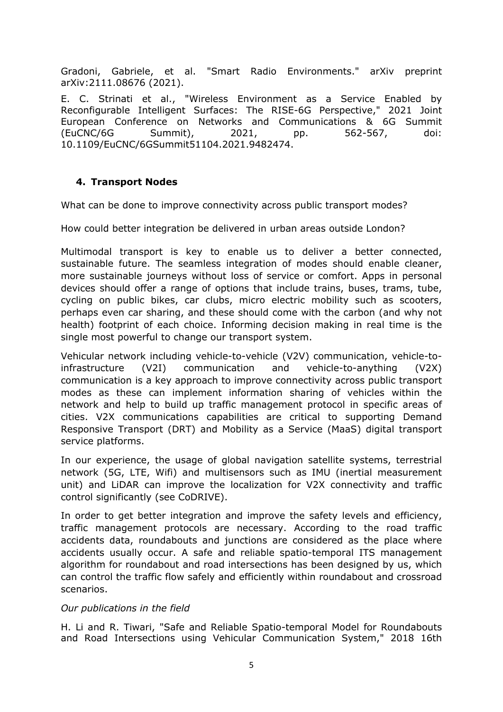Gradoni, Gabriele, et al. "Smart Radio Environments." arXiv preprint arXiv:2111.08676 (2021).

E. C. Strinati et al., "Wireless Environment as a Service Enabled by Reconfigurable Intelligent Surfaces: The RISE-6G Perspective," 2021 Joint European Conference on Networks and Communications & 6G Summit (EuCNC/6G Summit), 2021, pp. 562-567, doi: 10.1109/EuCNC/6GSummit51104.2021.9482474.

## **4. Transport Nodes**

What can be done to improve connectivity across public transport modes?

How could better integration be delivered in urban areas outside London?

Multimodal transport is key to enable us to deliver a better connected, sustainable future. The seamless integration of modes should enable cleaner, more sustainable journeys without loss of service or comfort. Apps in personal devices should offer a range of options that include trains, buses, trams, tube, cycling on public bikes, car clubs, micro electric mobility such as scooters, perhaps even car sharing, and these should come with the carbon (and why not health) footprint of each choice. Informing decision making in real time is the single most powerful to change our transport system.

Vehicular network including vehicle-to-vehicle (V2V) communication, vehicle-toinfrastructure (V2I) communication and vehicle-to-anything (V2X) communication is a key approach to improve connectivity across public transport modes as these can implement information sharing of vehicles within the network and help to build up traffic management protocol in specific areas of cities. V2X communications capabilities are critical to supporting Demand Responsive Transport (DRT) and Mobility as a Service (MaaS) digital transport service platforms.

In our experience, the usage of global navigation satellite systems, terrestrial network (5G, LTE, Wifi) and multisensors such as IMU (inertial measurement unit) and LiDAR can improve the localization for V2X connectivity and traffic control significantly (see CoDRIVE).

In order to get better integration and improve the safety levels and efficiency, traffic management protocols are necessary. According to the road traffic accidents data, roundabouts and junctions are considered as the place where accidents usually occur. A safe and reliable spatio-temporal ITS management algorithm for roundabout and road intersections has been designed by us, which can control the traffic flow safely and efficiently within roundabout and crossroad scenarios.

#### *Our publications in the field*

H. Li and R. Tiwari, "Safe and Reliable Spatio-temporal Model for Roundabouts and Road Intersections using Vehicular Communication System," 2018 16th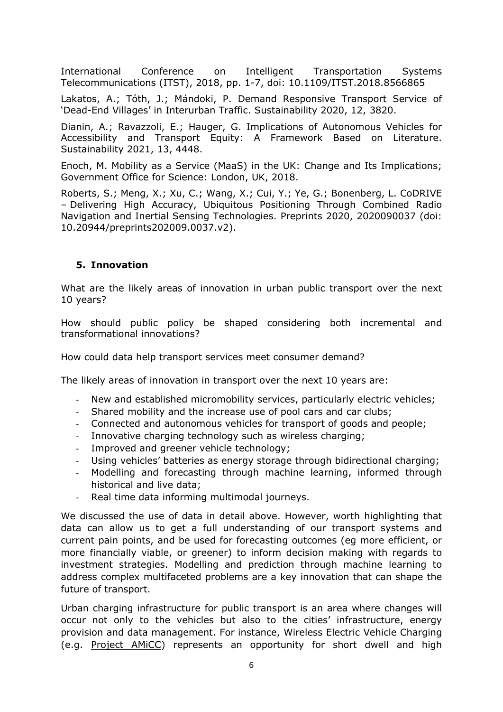International Conference on Intelligent Transportation Systems Telecommunications (ITST), 2018, pp. 1-7, doi: 10.1109/ITST.2018.8566865

Lakatos, A.; Tóth, J.; Mándoki, P. Demand Responsive Transport Service of 'Dead-End Villages' in Interurban Traffic. Sustainability 2020, 12, 3820.

Dianin, A.; Ravazzoli, E.; Hauger, G. Implications of Autonomous Vehicles for Accessibility and Transport Equity: A Framework Based on Literature. Sustainability 2021, 13, 4448.

Enoch, M. Mobility as a Service (MaaS) in the UK: Change and Its Implications; Government Office for Science: London, UK, 2018.

Roberts, S.; Meng, X.; Xu, C.; Wang, X.; Cui, Y.; Ye, G.; Bonenberg, L. CoDRIVE – Delivering High Accuracy, Ubiquitous Positioning Through Combined Radio Navigation and Inertial Sensing Technologies. Preprints 2020, 2020090037 (doi: 10.20944/preprints202009.0037.v2).

## **5. Innovation**

What are the likely areas of innovation in urban public transport over the next 10 years?

How should public policy be shaped considering both incremental and transformational innovations?

How could data help transport services meet consumer demand?

The likely areas of innovation in transport over the next 10 years are:

- New and established micromobility services, particularly electric vehicles;
- Shared mobility and the increase use of pool cars and car clubs;
- Connected and autonomous vehicles for transport of goods and people;
- Innovative charging technology such as wireless charging;
- Improved and greener vehicle technology;
- Using vehicles' batteries as energy storage through bidirectional charging;
- Modelling and forecasting through machine learning, informed through historical and live data;
- Real time data informing multimodal journeys.

We discussed the use of data in detail above. However, worth highlighting that data can allow us to get a full understanding of our transport systems and current pain points, and be used for forecasting outcomes (eg more efficient, or more financially viable, or greener) to inform decision making with regards to investment strategies. Modelling and prediction through machine learning to address complex multifaceted problems are a key innovation that can shape the future of transport.

Urban charging infrastructure for public transport is an area where changes will occur not only to the vehicles but also to the cities' infrastructure, energy provision and data management. For instance, Wireless Electric Vehicle Charging (e.g. [Project](https://www.projectamicc.com/news/a-state-of-art-of-wireless-electric-vehicle-charging-wevc/) [AMiCC\)](https://www.projectamicc.com/news/a-state-of-art-of-wireless-electric-vehicle-charging-wevc/) represents an opportunity for short dwell and high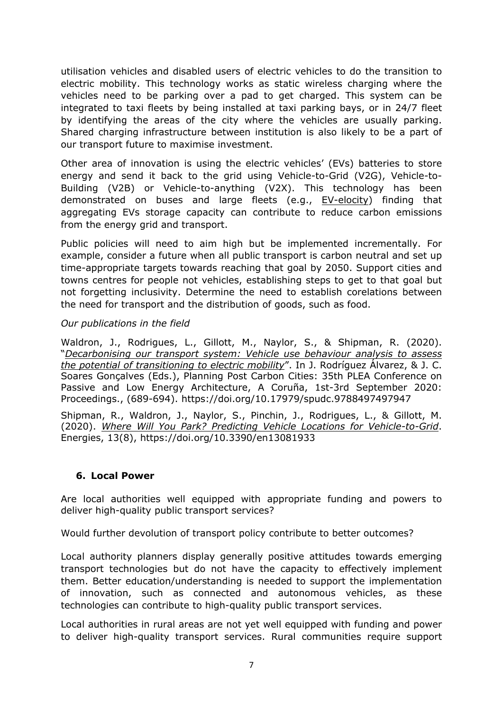utilisation vehicles and disabled users of electric vehicles to do the transition to electric mobility. This technology works as static wireless charging where the vehicles need to be parking over a pad to get charged. This system can be integrated to taxi fleets by being installed at taxi parking bays, or in 24/7 fleet by identifying the areas of the city where the vehicles are usually parking. Shared charging infrastructure between institution is also likely to be a part of our transport future to maximise investment.

Other area of innovation is using the electric vehicles' (EVs) batteries to store energy and send it back to the grid using Vehicle-to-Grid (V2G), Vehicle-to-Building (V2B) or Vehicle-to-anything (V2X). This technology has been demonstrated on buses and large fleets (e.g., [EV-elocity](https://www.ev-elocity.com/)) finding that aggregating EVs storage capacity can contribute to reduce carbon emissions from the energy grid and transport.

Public policies will need to aim high but be implemented incrementally. For example, consider a future when all public transport is carbon neutral and set up time-appropriate targets towards reaching that goal by 2050. Support cities and towns centres for people not vehicles, establishing steps to get to that goal but not forgetting inclusivity. Determine the need to establish corelations between the need for transport and the distribution of goods, such as food.

### *Our publications in the field*

Waldron, J., Rodrigues, L., Gillott, M., Naylor, S., & Shipman, R. (2020). "*[Decarbonising](https://ruc.udc.es/dspace/handle/2183/26695) [our](https://ruc.udc.es/dspace/handle/2183/26695) [transport](https://ruc.udc.es/dspace/handle/2183/26695) [system:](https://ruc.udc.es/dspace/handle/2183/26695) [Vehicle](https://ruc.udc.es/dspace/handle/2183/26695) [use](https://ruc.udc.es/dspace/handle/2183/26695) [behaviour](https://ruc.udc.es/dspace/handle/2183/26695) [analysis](https://ruc.udc.es/dspace/handle/2183/26695) [to](https://ruc.udc.es/dspace/handle/2183/26695) [assess](https://ruc.udc.es/dspace/handle/2183/26695) [the](https://ruc.udc.es/dspace/handle/2183/26695) [potential](https://ruc.udc.es/dspace/handle/2183/26695) [of](https://ruc.udc.es/dspace/handle/2183/26695) [transitioning](https://ruc.udc.es/dspace/handle/2183/26695) [to](https://ruc.udc.es/dspace/handle/2183/26695) [electric](https://ruc.udc.es/dspace/handle/2183/26695) [mobility](https://ruc.udc.es/dspace/handle/2183/26695)*". In J. Rodríguez Álvarez, & J. C. Soares Gonçalves (Eds.), Planning Post Carbon Cities: 35th PLEA Conference on Passive and Low Energy Architecture, A Coruña, 1st-3rd September 2020: Proceedings., (689-694). <https://doi.org/10.17979/spudc.9788497497947>

Shipman, R., Waldron, J., Naylor, S., Pinchin, J., Rodrigues, L., & Gillott, M. (2020). *[Where](https://www.mdpi.com/1996-1073/13/8/1933) [Will](https://www.mdpi.com/1996-1073/13/8/1933) [You](https://www.mdpi.com/1996-1073/13/8/1933) [Park?](https://www.mdpi.com/1996-1073/13/8/1933) [Predicting](https://www.mdpi.com/1996-1073/13/8/1933) [Vehicle](https://www.mdpi.com/1996-1073/13/8/1933) [Locations](https://www.mdpi.com/1996-1073/13/8/1933) [for](https://www.mdpi.com/1996-1073/13/8/1933) [Vehicle-to-Grid](https://www.mdpi.com/1996-1073/13/8/1933)*. Energies, 13(8), <https://doi.org/10.3390/en13081933>

### **6. Local Power**

Are local authorities well equipped with appropriate funding and powers to deliver high-quality public transport services?

Would further devolution of transport policy contribute to better outcomes?

Local authority planners display generally positive attitudes towards emerging transport technologies but do not have the capacity to effectively implement them. Better education/understanding is needed to support the implementation of innovation, such as connected and autonomous vehicles, as these technologies can contribute to high-quality public transport services.

Local authorities in rural areas are not yet well equipped with funding and power to deliver high-quality transport services. Rural communities require support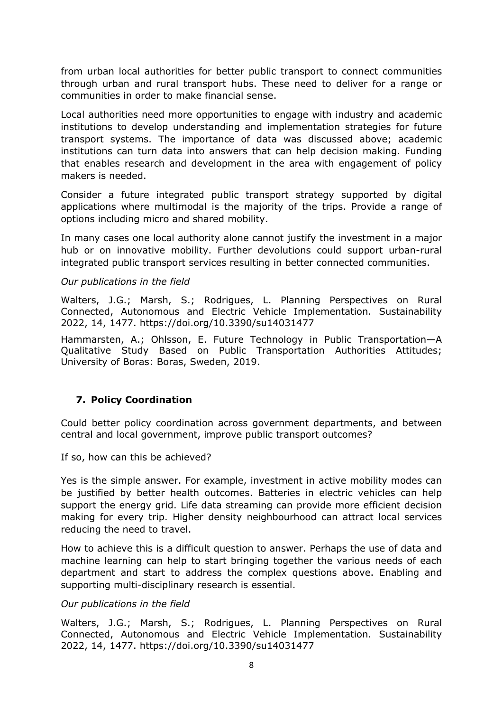from urban local authorities for better public transport to connect communities through urban and rural transport hubs. These need to deliver for a range or communities in order to make financial sense.

Local authorities need more opportunities to engage with industry and academic institutions to develop understanding and implementation strategies for future transport systems. The importance of data was discussed above; academic institutions can turn data into answers that can help decision making. Funding that enables research and development in the area with engagement of policy makers is needed.

Consider a future integrated public transport strategy supported by digital applications where multimodal is the majority of the trips. Provide a range of options including micro and shared mobility.

In many cases one local authority alone cannot justify the investment in a major hub or on innovative mobility. Further devolutions could support urban-rural integrated public transport services resulting in better connected communities.

### *Our publications in the field*

Walters, J.G.; Marsh, S.; Rodrigues, L. Planning Perspectives on Rural Connected, Autonomous and Electric Vehicle Implementation. Sustainability 2022, 14, 1477. https://doi.org/10.3390/su14031477

Hammarsten, A.; Ohlsson, E. Future Technology in Public Transportation—A Qualitative Study Based on Public Transportation Authorities Attitudes; University of Boras: Boras, Sweden, 2019.

### **7. Policy Coordination**

Could better policy coordination across government departments, and between central and local government, improve public transport outcomes?

If so, how can this be achieved?

Yes is the simple answer. For example, investment in active mobility modes can be justified by better health outcomes. Batteries in electric vehicles can help support the energy grid. Life data streaming can provide more efficient decision making for every trip. Higher density neighbourhood can attract local services reducing the need to travel.

How to achieve this is a difficult question to answer. Perhaps the use of data and machine learning can help to start bringing together the various needs of each department and start to address the complex questions above. Enabling and supporting multi-disciplinary research is essential.

### *Our publications in the field*

Walters, J.G.; Marsh, S.; Rodrigues, L. Planning Perspectives on Rural Connected, Autonomous and Electric Vehicle Implementation. Sustainability 2022, 14, 1477. https://doi.org/10.3390/su14031477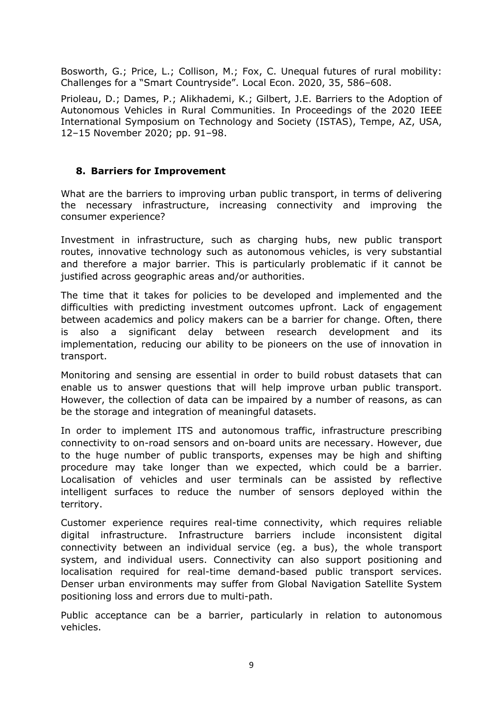Bosworth, G.; Price, L.; Collison, M.; Fox, C. Unequal futures of rural mobility: Challenges for a "Smart Countryside". Local Econ. 2020, 35, 586–608.

Prioleau, D.; Dames, P.; Alikhademi, K.; Gilbert, J.E. Barriers to the Adoption of Autonomous Vehicles in Rural Communities. In Proceedings of the 2020 IEEE International Symposium on Technology and Society (ISTAS), Tempe, AZ, USA, 12–15 November 2020; pp. 91–98.

## **8. Barriers for Improvement**

What are the barriers to improving urban public transport, in terms of delivering the necessary infrastructure, increasing connectivity and improving the consumer experience?

Investment in infrastructure, such as charging hubs, new public transport routes, innovative technology such as autonomous vehicles, is very substantial and therefore a major barrier. This is particularly problematic if it cannot be justified across geographic areas and/or authorities.

The time that it takes for policies to be developed and implemented and the difficulties with predicting investment outcomes upfront. Lack of engagement between academics and policy makers can be a barrier for change. Often, there is also a significant delay between research development and its implementation, reducing our ability to be pioneers on the use of innovation in transport.

Monitoring and sensing are essential in order to build robust datasets that can enable us to answer questions that will help improve urban public transport. However, the collection of data can be impaired by a number of reasons, as can be the storage and integration of meaningful datasets.

In order to implement ITS and autonomous traffic, infrastructure prescribing connectivity to on-road sensors and on-board units are necessary. However, due to the huge number of public transports, expenses may be high and shifting procedure may take longer than we expected, which could be a barrier. Localisation of vehicles and user terminals can be assisted by reflective intelligent surfaces to reduce the number of sensors deployed within the territory.

Customer experience requires real-time connectivity, which requires reliable digital infrastructure. Infrastructure barriers include inconsistent digital connectivity between an individual service (eg. a bus), the whole transport system, and individual users. Connectivity can also support positioning and localisation required for real-time demand-based public transport services. Denser urban environments may suffer from Global Navigation Satellite System positioning loss and errors due to multi-path.

Public acceptance can be a barrier, particularly in relation to autonomous vehicles.